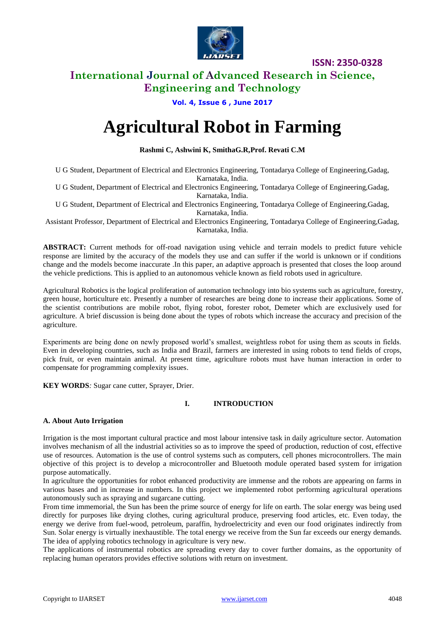

### **International Journal of Advanced Research in Science, Engineering and Technology**

**Vol. 4, Issue 6 , June 2017**

# **Agricultural Robot in Farming**

#### **Rashmi C, Ashwini K, SmithaG.R,Prof. Revati C.M**

U G Student, Department of Electrical and Electronics Engineering, Tontadarya College of Engineering,Gadag, Karnataka, India.

U G Student, Department of Electrical and Electronics Engineering, Tontadarya College of Engineering,Gadag, Karnataka, India.

U G Student, Department of Electrical and Electronics Engineering, Tontadarya College of Engineering,Gadag, Karnataka, India.

Assistant Professor, Department of Electrical and Electronics Engineering, Tontadarya College of Engineering,Gadag, Karnataka, India.

**ABSTRACT:** Current methods for off-road navigation using vehicle and terrain models to predict future vehicle response are limited by the accuracy of the models they use and can suffer if the world is unknown or if conditions change and the models become inaccurate .In this paper, an adaptive approach is presented that closes the loop around the vehicle predictions. This is applied to an autonomous vehicle known as field robots used in agriculture.

Agricultural Robotics is the logical proliferation of automation technology into bio systems such as agriculture, forestry, green house, horticulture etc. Presently a number of researches are being done to increase their applications. Some of the scientist contributions are mobile robot, flying robot, forester robot, Demeter which are exclusively used for agriculture. A brief discussion is being done about the types of robots which increase the accuracy and precision of the agriculture.

Experiments are being done on newly proposed world's smallest, weightless robot for using them as scouts in fields. Even in developing countries, such as India and Brazil, farmers are interested in using robots to tend fields of crops, pick fruit, or even maintain animal. At present time, agriculture robots must have human interaction in order to compensate for programming complexity issues.

**KEY WORDS***:* Sugar cane cutter, Sprayer, Drier.

#### **I. INTRODUCTION**

#### **A. About Auto Irrigation**

Irrigation is the most important cultural practice and most labour intensive task in daily agriculture sector. Automation involves mechanism of all the industrial activities so as to improve the speed of production, reduction of cost, effective use of resources. Automation is the use of control systems such as computers, cell phones microcontrollers. The main objective of this project is to develop a microcontroller and Bluetooth module operated based system for irrigation purpose automatically.

In agriculture the opportunities for robot enhanced productivity are immense and the robots are appearing on farms in various bases and in increase in numbers. In this project we implemented robot performing agricultural operations autonomously such as spraying and sugarcane cutting.

From time immemorial, the Sun has been the prime source of energy for life on earth. The solar energy was being used directly for purposes like drying clothes, curing agricultural produce, preserving food articles, etc. Even today, the energy we derive from fuel-wood, petroleum, paraffin, hydroelectricity and even our food originates indirectly from Sun. Solar energy is virtually inexhaustible. The total energy we receive from the Sun far exceeds our energy demands. The idea of applying robotics technology in agriculture is very new.

The applications of instrumental robotics are spreading every day to cover further domains, as the opportunity of replacing human operators provides effective solutions with return on investment.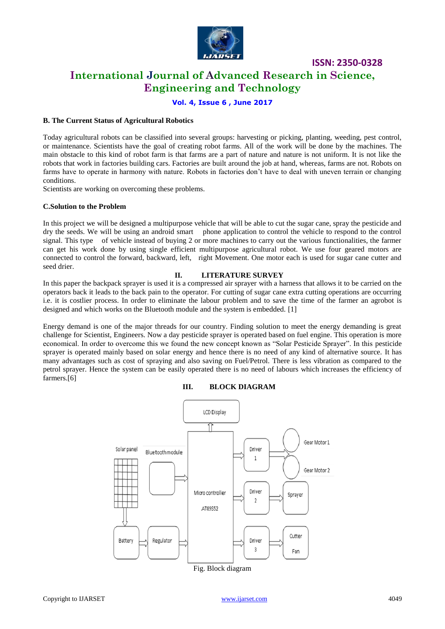

## **International Journal of Advanced Research in Science, Engineering and Technology**

**Vol. 4, Issue 6 , June 2017**

#### **B. The Current Status of Agricultural Robotics**

Today agricultural robots can be classified into several groups: harvesting or picking, planting, weeding, pest control, or maintenance. Scientists have the goal of creating robot farms. All of the work will be done by the machines. The main obstacle to this kind of robot farm is that farms are a part of nature and nature is not uniform. It is not like the robots that work in factories building cars. Factories are built around the job at hand, whereas, farms are not. Robots on farms have to operate in harmony with nature. Robots in factories don't have to deal with uneven terrain or changing conditions.

Scientists are working on overcoming these problems.

#### **C.Solution to the Problem**

In this project we will be designed a multipurpose vehicle that will be able to cut the sugar cane, spray the pesticide and dry the seeds. We will be using an android smart phone application to control the vehicle to respond to the control signal. This type of vehicle instead of buying 2 or more machines to carry out the various functionalities, the farmer can get his work done by using single efficient multipurpose agricultural robot. We use four geared motors are connected to control the forward, backward, left, right Movement. One motor each is used for sugar cane cutter and seed drier.

#### **II. LITERATURE SURVEY**

In this paper the backpack sprayer is used it is a compressed air sprayer with a harness that allows it to be carried on the operators back it leads to the back pain to the operator. For cutting of sugar cane extra cutting operations are occurring i.e. it is costlier process. In order to eliminate the labour problem and to save the time of the farmer an agrobot is designed and which works on the Bluetooth module and the system is embedded. [1]

Energy demand is one of the major threads for our country. Finding solution to meet the energy demanding is great challenge for Scientist, Engineers. Now a day pesticide sprayer is operated based on fuel engine. This operation is more economical. In order to overcome this we found the new concept known as "Solar Pesticide Sprayer". In this pesticide sprayer is operated mainly based on solar energy and hence there is no need of any kind of alternative source. It has many advantages such as cost of spraying and also saving on Fuel/Petrol. There is less vibration as compared to the petrol sprayer. Hence the system can be easily operated there is no need of labours which increases the efficiency of farmers.[6]





Fig. Block diagram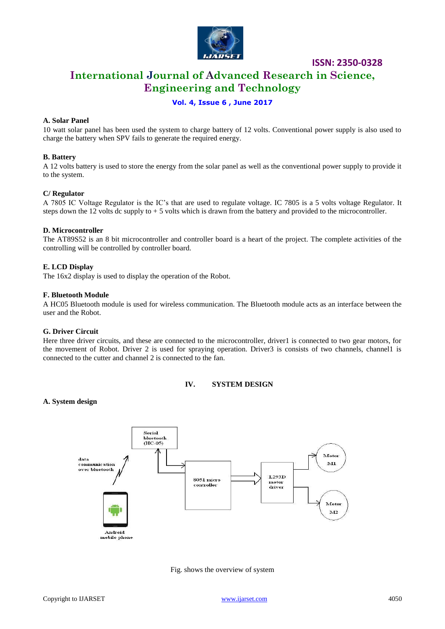

## **International Journal of Advanced Research in Science, Engineering and Technology**

#### **Vol. 4, Issue 6 , June 2017**

#### **A. Solar Panel**

10 watt solar panel has been used the system to charge battery of 12 volts. Conventional power supply is also used to charge the battery when SPV fails to generate the required energy.

#### **B. Battery**

A 12 volts battery is used to store the energy from the solar panel as well as the conventional power supply to provide it to the system.

#### **C/ Regulator**

A 7805 IC Voltage Regulator is the IC's that are used to regulate voltage. IC 7805 is a 5 volts voltage Regulator. It steps down the 12 volts dc supply to  $+5$  volts which is drawn from the battery and provided to the microcontroller.

#### **D. Microcontroller**

The AT89S52 is an 8 bit microcontroller and controller board is a heart of the project. The complete activities of the controlling will be controlled by controller board.

#### **E. LCD Display**

The 16x2 display is used to display the operation of the Robot.

#### **F. Bluetooth Module**

A HC05 Bluetooth module is used for wireless communication. The Bluetooth module acts as an interface between the user and the Robot.

#### **G. Driver Circuit**

Here three driver circuits, and these are connected to the microcontroller, driver1 is connected to two gear motors, for the movement of Robot. Driver 2 is used for spraying operation. Driver3 is consists of two channels, channel1 is connected to the cutter and channel 2 is connected to the fan.

#### **IV. SYSTEM DESIGN**

#### **A. System design**



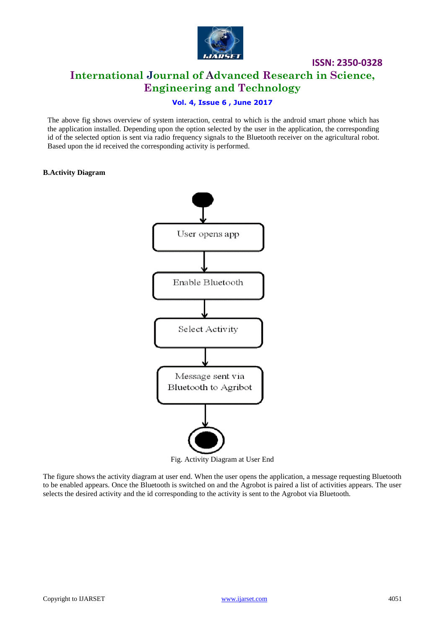

## **ISSN: 2350-0328 International Journal of Advanced Research in Science, Engineering and Technology**

#### **Vol. 4, Issue 6 , June 2017**

The above fig shows overview of system interaction, central to which is the android smart phone which has the application installed. Depending upon the option selected by the user in the application, the corresponding id of the selected option is sent via radio frequency signals to the Bluetooth receiver on the agricultural robot. Based upon the id received the corresponding activity is performed.

#### **B.Activity Diagram**



The figure shows the activity diagram at user end. When the user opens the application, a message requesting Bluetooth to be enabled appears. Once the Bluetooth is switched on and the Agrobot is paired a list of activities appears. The user selects the desired activity and the id corresponding to the activity is sent to the Agrobot via Bluetooth.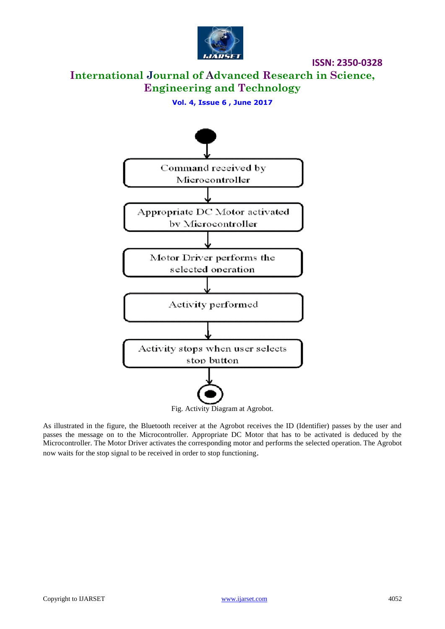

## **International Journal of Advanced Research in Science, Engineering and Technology**

**Vol. 4, Issue 6 , June 2017**



As illustrated in the figure, the Bluetooth receiver at the Agrobot receives the ID (Identifier) passes by the user and passes the message on to the Microcontroller. Appropriate DC Motor that has to be activated is deduced by the Microcontroller. The Motor Driver activates the corresponding motor and performs the selected operation. The Agrobot now waits for the stop signal to be received in order to stop functioning.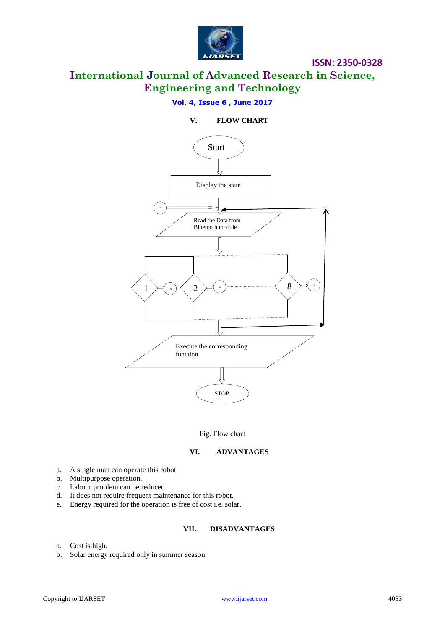

## **International Journal of Advanced Research in Science, Engineering and Technology**

#### **Vol. 4, Issue 6 , June 2017**

#### **V. FLOW CHART**



Fig. Flow chart

#### **VI. ADVANTAGES**

- a. A single man can operate this robot.
- b. Multipurpose operation.
- c. Labour problem can be reduced.
- d. It does not require frequent maintenance for this robot.
- e. Energy required for the operation is free of cost i.e. solar.

#### **VII. DISADVANTAGES**

- a. Cost is high.
- b. Solar energy required only in summer season.